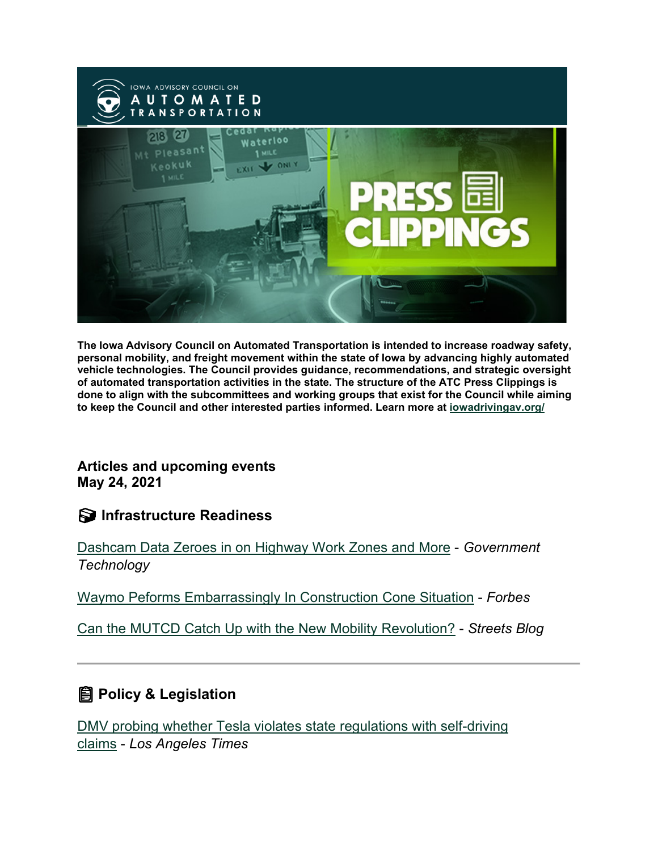

**The Iowa Advisory Council on Automated Transportation is intended to increase roadway safety, personal mobility, and freight movement within the state of Iowa by advancing highly automated vehicle technologies. The Council provides guidance, recommendations, and strategic oversight of automated transportation activities in the state. The structure of the ATC Press Clippings is done to align with the subcommittees and working groups that exist for the Council while aiming to keep the Council and other interested parties informed. Learn more at [iowadrivingav.org/](https://iowadrivingav.org/?utm_medium=email&utm_source=govdelivery)**

**Articles and upcoming events May 24, 2021**

### **Infrastructure Readiness**

[Dashcam Data Zeroes in on Highway Work Zones and More](https://www.govtech.com/fs/dashcam-data-zeroes-in-on-highway-work-zones-and-more?utm_medium=email&utm_source=govdelivery) - *Government Technology*

[Waymo Peforms Embarrassingly In Construction Cone Situation](https://www.forbes.com/sites/bradtempleton/2021/05/14/waymo-peforms-embarrassingly-in-construction-cone-situation/?sh=5c6e63ba7009&utm_medium=email&utm_source=govdelivery) - *Forbes*

[Can the MUTCD Catch Up with the New Mobility Revolution?](https://usa.streetsblog.org/2021/05/17/can-the-mutcd-catch-up-with-the-new-mobility-revolution/?utm_medium=email&utm_source=govdelivery) - *Streets Blog*

## **Policy & Legislation**

[DMV probing whether Tesla violates state regulations with self-driving](https://www.latimes.com/business/story/2021-05-17/dmv-tesla-california-fsd-autopilot-safety?utm_medium=email&utm_source=govdelivery)  [claims](https://www.latimes.com/business/story/2021-05-17/dmv-tesla-california-fsd-autopilot-safety?utm_medium=email&utm_source=govdelivery) - *Los Angeles Times*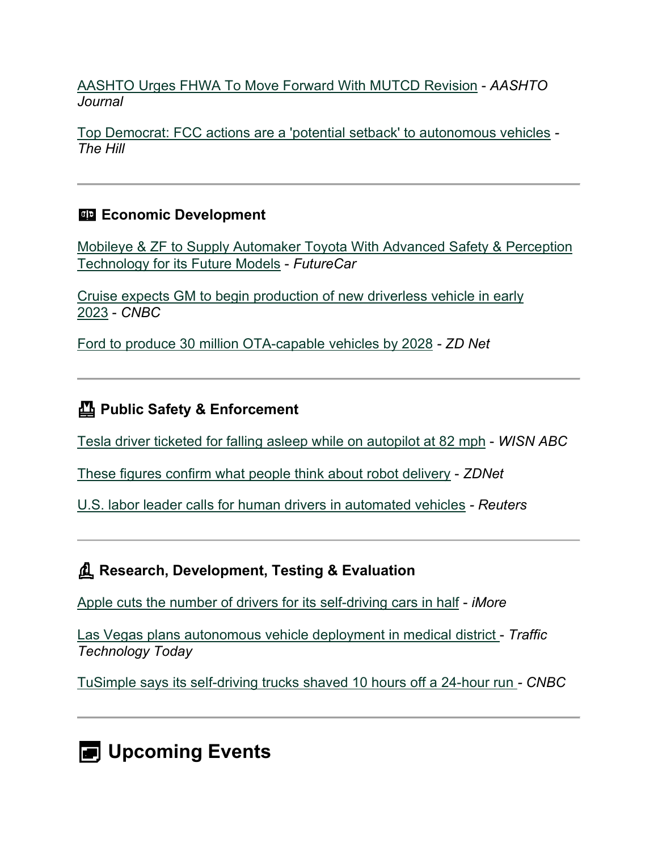[AASHTO Urges FHWA To Move Forward With MUTCD Revision](https://aashtojournal.org/2021/05/14/aashto-urges-fhwa-to-move-forward-with-mutcd-revision/?utm_medium=email&utm_source=govdelivery) - *AASHTO Journal*

[Top Democrat: FCC actions are a 'potential setback' to autonomous vehicles](https://thehill.com/policy/technology/553154-defazio-calls-out-fcc-for-supporting-setback-for-autonomous-vehicles?utm_medium=email&utm_source=govdelivery) *- The Hill*

### **Example 2** Economic Development

[Mobileye & ZF to Supply Automaker Toyota With Advanced Safety & Perception](https://m.futurecar.com/4624/Mobileye-&-ZF-to-Supply-Automaker-Toyota-With-Advanced-Safety-&-Perception-Technology-for-its-Future-Models?utm_medium=email&utm_source=govdelivery)  [Technology for its Future Models](https://m.futurecar.com/4624/Mobileye-&-ZF-to-Supply-Automaker-Toyota-With-Advanced-Safety-&-Perception-Technology-for-its-Future-Models?utm_medium=email&utm_source=govdelivery) - *FutureCar*

[Cruise expects GM to begin production of new driverless vehicle in early](https://www.cnbc.com/2021/05/13/gm-to-begin-production-of-new-driverless-cruise-vehicle-in-early-2023.html?utm_medium=email&utm_source=govdelivery)  [2023](https://www.cnbc.com/2021/05/13/gm-to-begin-production-of-new-driverless-cruise-vehicle-in-early-2023.html?utm_medium=email&utm_source=govdelivery) - *CNBC*

[Ford to produce 30 million OTA-capable vehicles by 2028](https://www.zdnet.com/article/ford-to-produce-30-million-ota-capable-vehicles-by-2028/?utm_medium=email&utm_source=govdelivery) *- ZD Net*

# **Public Safety & Enforcement**

[Tesla driver ticketed for falling asleep while on autopilot at 82 mph](https://www.wisn.com/article/tesla-driver-ticketed-for-falling-asleep-while-on-autopilot-at-82-mph/36454683?utm_medium=email&utm_source=govdelivery) - *WISN ABC*

[These figures confirm what people think about robot delivery](https://www.zdnet.com/article/these-figures-confirm-what-people-think-about-robot-delivery/?utm_medium=email&utm_source=govdelivery) - *ZDNet*

[U.S. labor leader calls for human drivers in automated vehicles](https://www.reuters.com/business/autos-transportation/us-labor-leader-calls-human-drivers-automated-vehicles-2021-05-17/?utm_medium=email&utm_source=govdelivery) *- Reuters*

**Research, Development, Testing & Evaluation**

[Apple cuts the number of drivers for its self-driving cars in half](https://www.imore.com/apple-cuts-number-drivers-its-self-driving-cars-half?utm_medium=email&utm_source=govdelivery) - *iMore*

[Las Vegas plans autonomous vehicle deployment in medical district](https://www.traffictechnologytoday.com/news/autonomous-vehicles/las-vegas-plans-autonomous-vehicle-deployment-in-medical-district.html?utm_medium=email&utm_source=govdelivery) - *Traffic Technology Today*

[TuSimple says its self-driving trucks shaved 10 hours off a 24-hour run](https://www.cnbc.com/2021/05/19/tusimple-self-driving-trucks-saved-10-hours-on-24-hour-run.html?utm_medium=email&utm_source=govdelivery) *- CNBC*

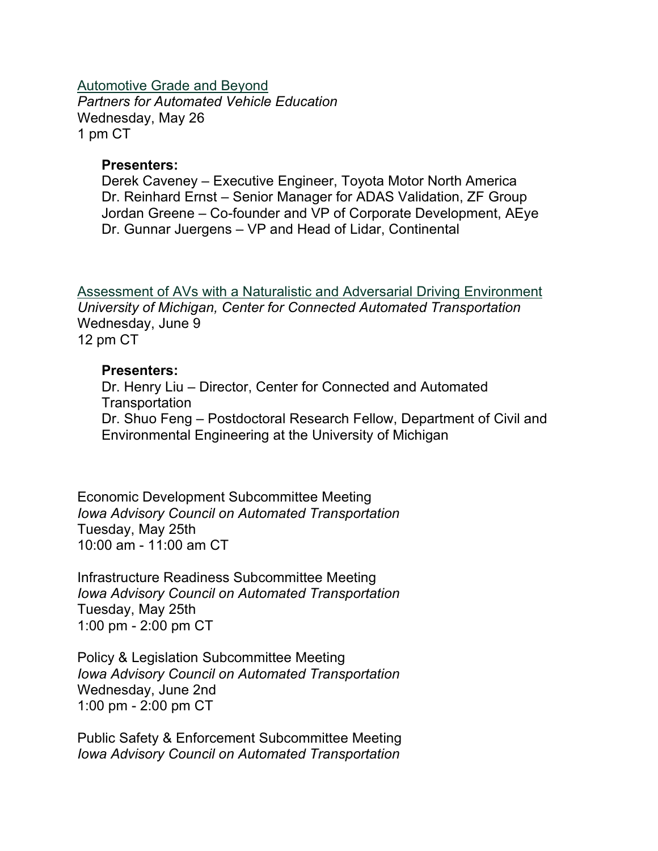[Automotive Grade and Beyond](https://pavecampaign.org/event/pave-virtual-panel-automotive-grade-and-beyond/?utm_medium=email&utm_source=govdelivery) *Partners for Automated Vehicle Education* Wednesday, May 26 1 pm CT

#### **Presenters:**

Derek Caveney – Executive Engineer, Toyota Motor North America Dr. Reinhard Ernst – Senior Manager for ADAS Validation, ZF Group Jordan Greene – Co-founder and VP of Corporate Development, AEye Dr. Gunnar Juergens – VP and Head of Lidar, Continental

[Assessment of AVs with a Naturalistic and Adversarial Driving Environment](https://www.eventbrite.com/e/assessment-of-avs-with-a-naturalistic-and-adversarial-driving-environment-tickets-154470584677?aff=Mailchimp&mc_cid=306afc6eea&mc_eid=86f0414fd9&utm_medium=email&utm_source=govdelivery) *University of Michigan, Center for Connected Automated Transportation* Wednesday, June 9 12 pm CT

#### **Presenters:**

Dr. Henry Liu – Director, Center for Connected and Automated **Transportation** Dr. Shuo Feng – Postdoctoral Research Fellow, Department of Civil and Environmental Engineering at the University of Michigan

Economic Development Subcommittee Meeting *Iowa Advisory Council on Automated Transportation* Tuesday, May 25th 10:00 am - 11:00 am CT

Infrastructure Readiness Subcommittee Meeting *Iowa Advisory Council on Automated Transportation* Tuesday, May 25th 1:00 pm - 2:00 pm CT

Policy & Legislation Subcommittee Meeting *Iowa Advisory Council on Automated Transportation* Wednesday, June 2nd 1:00 pm - 2:00 pm CT

Public Safety & Enforcement Subcommittee Meeting *Iowa Advisory Council on Automated Transportation*